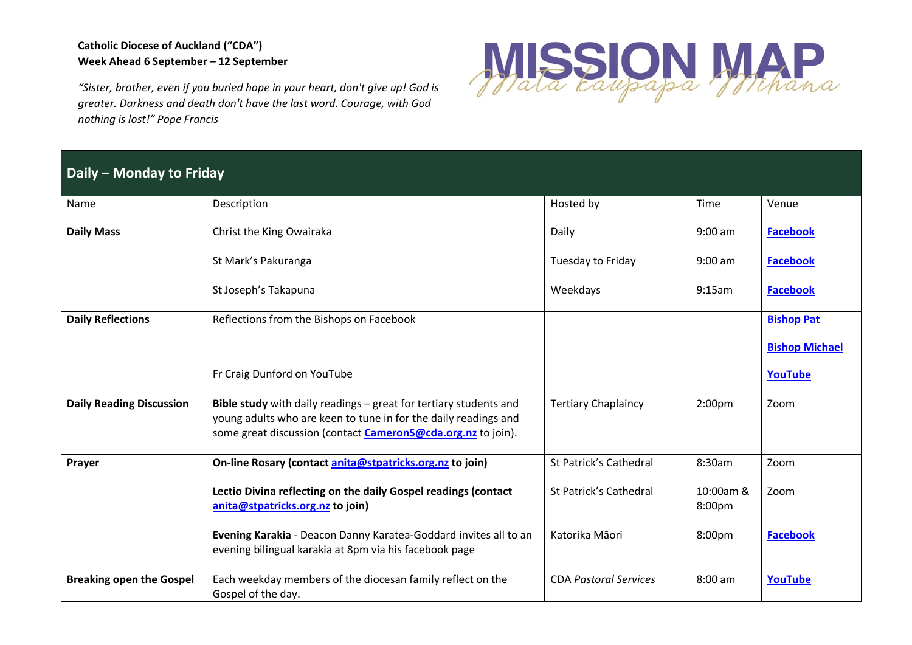## **Catholic Diocese of Auckland ("CDA") Week Ahead 6 September – 12 September**

*"Sister, brother, even if you buried hope in your heart, don't give up! God is greater. Darkness and death don't have the last word. Courage, with God nothing is lost!" Pope Francis*



## **Daily – Monday to Friday**

| Name                            | Description                                                                                                                                                                                                 | Hosted by                    | Time                | Venue                 |
|---------------------------------|-------------------------------------------------------------------------------------------------------------------------------------------------------------------------------------------------------------|------------------------------|---------------------|-----------------------|
| <b>Daily Mass</b>               | Christ the King Owairaka                                                                                                                                                                                    | Daily                        | $9:00$ am           | <b>Facebook</b>       |
|                                 | St Mark's Pakuranga                                                                                                                                                                                         | Tuesday to Friday            | $9:00$ am           | <b>Facebook</b>       |
|                                 | St Joseph's Takapuna                                                                                                                                                                                        | Weekdays                     | 9:15am              | <b>Facebook</b>       |
| <b>Daily Reflections</b>        | Reflections from the Bishops on Facebook                                                                                                                                                                    |                              |                     | <b>Bishop Pat</b>     |
|                                 |                                                                                                                                                                                                             |                              |                     | <b>Bishop Michael</b> |
|                                 | Fr Craig Dunford on YouTube                                                                                                                                                                                 |                              |                     | <b>YouTube</b>        |
| <b>Daily Reading Discussion</b> | Bible study with daily readings - great for tertiary students and<br>young adults who are keen to tune in for the daily readings and<br>some great discussion (contact <b>CameronS@cda.org.nz</b> to join). | <b>Tertiary Chaplaincy</b>   | 2:00 <sub>pm</sub>  | Zoom                  |
| Prayer                          | On-line Rosary (contact anita@stpatricks.org.nz to join)                                                                                                                                                    | St Patrick's Cathedral       | 8:30am              | Zoom                  |
|                                 | Lectio Divina reflecting on the daily Gospel readings (contact<br>anita@stpatricks.org.nz to join)                                                                                                          | St Patrick's Cathedral       | 10:00am &<br>8:00pm | Zoom                  |
|                                 | Evening Karakia - Deacon Danny Karatea-Goddard invites all to an<br>evening bilingual karakia at 8pm via his facebook page                                                                                  | Katorika Māori               | 8:00pm              | <b>Facebook</b>       |
| <b>Breaking open the Gospel</b> | Each weekday members of the diocesan family reflect on the<br>Gospel of the day.                                                                                                                            | <b>CDA Pastoral Services</b> | 8:00 am             | <b>YouTube</b>        |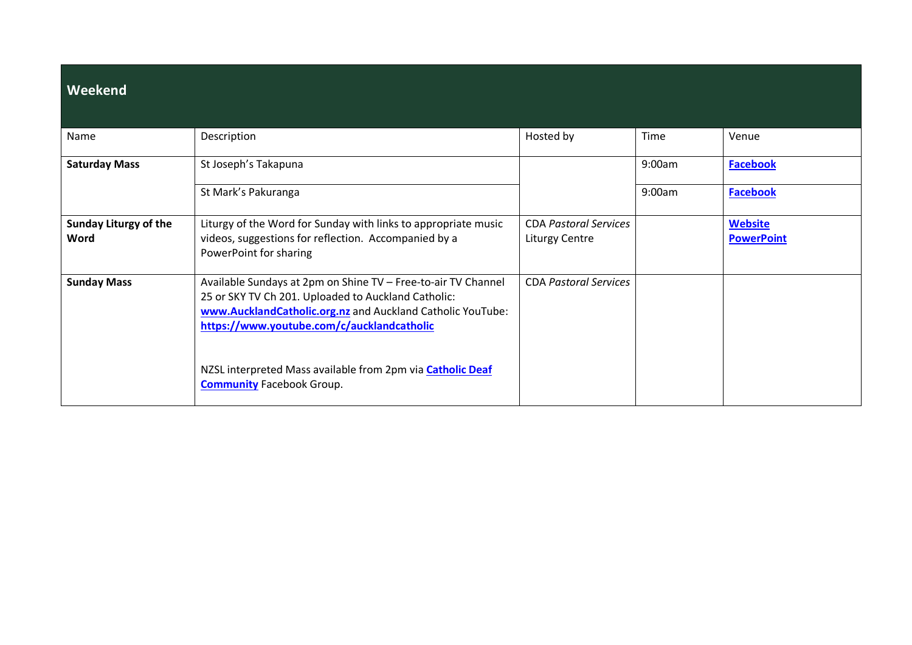| Weekend                              |                                                                                                                                                                                                                                  |                                                       |        |                                     |
|--------------------------------------|----------------------------------------------------------------------------------------------------------------------------------------------------------------------------------------------------------------------------------|-------------------------------------------------------|--------|-------------------------------------|
| Name                                 | Description                                                                                                                                                                                                                      | Hosted by                                             | Time   | Venue                               |
| <b>Saturday Mass</b>                 | St Joseph's Takapuna                                                                                                                                                                                                             |                                                       | 9:00am | <b>Facebook</b>                     |
|                                      | St Mark's Pakuranga                                                                                                                                                                                                              |                                                       | 9:00am | <b>Facebook</b>                     |
| <b>Sunday Liturgy of the</b><br>Word | Liturgy of the Word for Sunday with links to appropriate music<br>videos, suggestions for reflection. Accompanied by a<br>PowerPoint for sharing                                                                                 | <b>CDA Pastoral Services</b><br><b>Liturgy Centre</b> |        | <b>Website</b><br><b>PowerPoint</b> |
| <b>Sunday Mass</b>                   | Available Sundays at 2pm on Shine TV - Free-to-air TV Channel<br>25 or SKY TV Ch 201. Uploaded to Auckland Catholic:<br>www.AucklandCatholic.org.nz and Auckland Catholic YouTube:<br>https://www.youtube.com/c/aucklandcatholic | <b>CDA Pastoral Services</b>                          |        |                                     |
|                                      | NZSL interpreted Mass available from 2pm via Catholic Deaf<br><b>Community Facebook Group.</b>                                                                                                                                   |                                                       |        |                                     |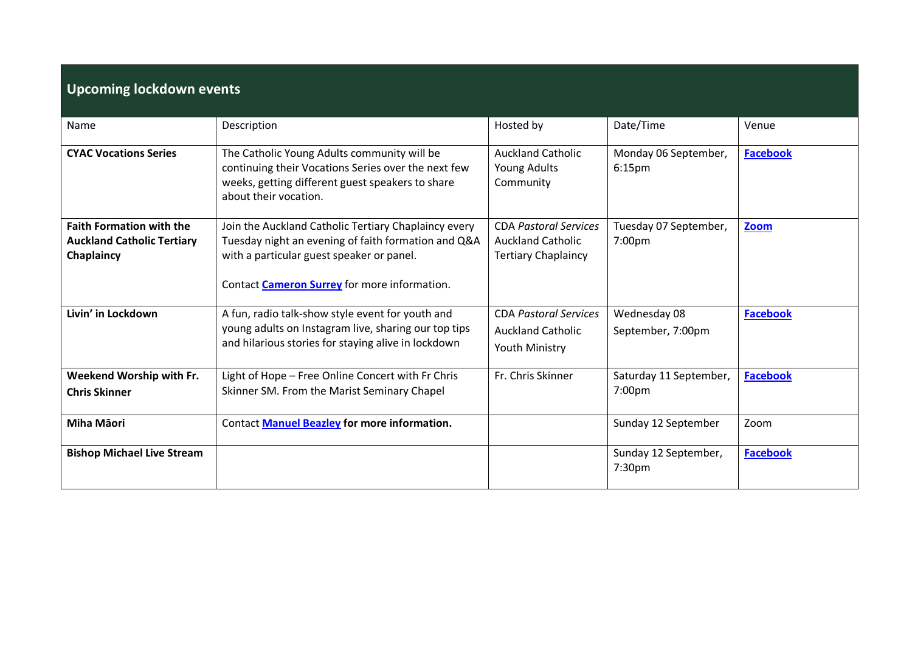| <b>Upcoming lockdown events</b>                                                    |                                                                                                                                                                                                                 |                                                                                        |                                            |                 |
|------------------------------------------------------------------------------------|-----------------------------------------------------------------------------------------------------------------------------------------------------------------------------------------------------------------|----------------------------------------------------------------------------------------|--------------------------------------------|-----------------|
| Name                                                                               | Description                                                                                                                                                                                                     | Hosted by                                                                              | Date/Time                                  | Venue           |
| <b>CYAC Vocations Series</b>                                                       | The Catholic Young Adults community will be<br>continuing their Vocations Series over the next few<br>weeks, getting different guest speakers to share<br>about their vocation.                                 | <b>Auckland Catholic</b><br>Young Adults<br>Community                                  | Monday 06 September,<br>6:15 <sub>pm</sub> | <b>Facebook</b> |
| <b>Faith Formation with the</b><br><b>Auckland Catholic Tertiary</b><br>Chaplaincy | Join the Auckland Catholic Tertiary Chaplaincy every<br>Tuesday night an evening of faith formation and Q&A<br>with a particular guest speaker or panel.<br>Contact <b>Cameron Surrey</b> for more information. | <b>CDA Pastoral Services</b><br><b>Auckland Catholic</b><br><b>Tertiary Chaplaincy</b> | Tuesday 07 September,<br>7:00pm            | Zoom            |
| Livin' in Lockdown                                                                 | A fun, radio talk-show style event for youth and<br>young adults on Instagram live, sharing our top tips<br>and hilarious stories for staying alive in lockdown                                                 | <b>CDA Pastoral Services</b><br><b>Auckland Catholic</b><br>Youth Ministry             | Wednesday 08<br>September, 7:00pm          | <b>Facebook</b> |
| Weekend Worship with Fr.<br><b>Chris Skinner</b>                                   | Light of Hope - Free Online Concert with Fr Chris<br>Skinner SM. From the Marist Seminary Chapel                                                                                                                | Fr. Chris Skinner                                                                      | Saturday 11 September,<br>7:00pm           | <b>Facebook</b> |
| Miha Māori                                                                         | Contact Manuel Beazley for more information.                                                                                                                                                                    |                                                                                        | Sunday 12 September                        | Zoom            |
| <b>Bishop Michael Live Stream</b>                                                  |                                                                                                                                                                                                                 |                                                                                        | Sunday 12 September,<br>7:30pm             | <b>Facebook</b> |